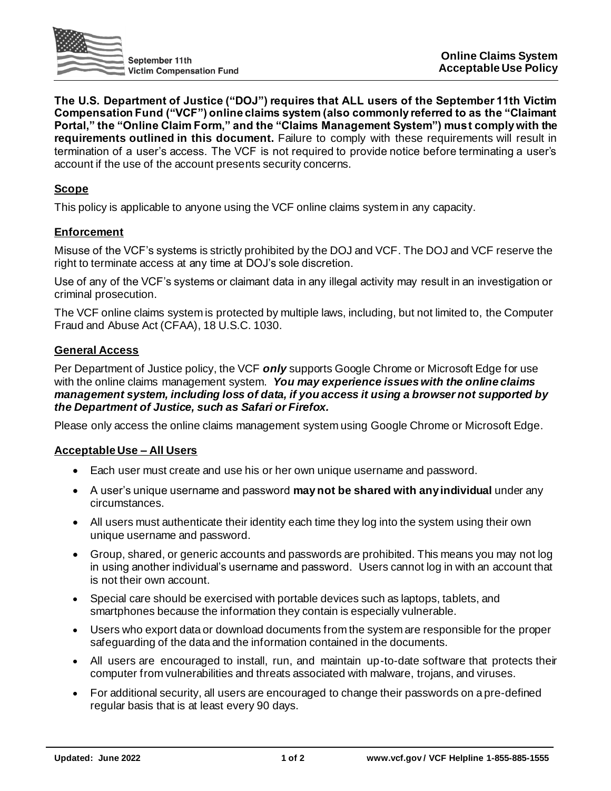

**The U.S. Department of Justice ("DOJ") requires that ALL users of the September 11th Victim Compensation Fund ("VCF") online claims system (also commonly referred to as the "Claimant Portal," the "Online Claim Form," and the "Claims Management System") must comply with the requirements outlined in this document.** Failure to comply with these requirements will result in termination of a user's access. The VCF is not required to provide notice before terminating a user's account if the use of the account presents security concerns.

# **Scope**

This policy is applicable to anyone using the VCF online claims system in any capacity.

#### **Enforcement**

Misuse of the VCF's systems is strictly prohibited by the DOJ and VCF. The DOJ and VCF reserve the right to terminate access at any time at DOJ's sole discretion.

Use of any of the VCF's systems or claimant data in any illegal activity may result in an investigation or criminal prosecution.

The VCF online claims system is protected by multiple laws, including, but not limited to, the Computer Fraud and Abuse Act (CFAA), 18 U.S.C. 1030.

#### **General Access**

Per Department of Justice policy, the VCF *only* supports Google Chrome or Microsoft Edge for use with the online claims management system. *You may experience issues with the online claims management system, including loss of data, if you access it using a browser not supported by the Department of Justice, such as Safari or Firefox.*

Please only access the online claims management system using Google Chrome or Microsoft Edge.

## **Acceptable Use – All Users**

- Each user must create and use his or her own unique username and password.
- A user's unique username and password **may not be shared with anyindividual** under any circumstances.
- All users must authenticate their identity each time they log into the system using their own unique username and password.
- Group, shared, or generic accounts and passwords are prohibited. This means you may not log in using another individual's username and password. Users cannot log in with an account that is not their own account.
- Special care should be exercised with portable devices such as laptops, tablets, and smartphones because the information they contain is especially vulnerable.
- Users who export data or download documents from the system are responsible for the proper safeguarding of the data and the information contained in the documents.
- All users are encouraged to install, run, and maintain up-to-date software that protects their computer from vulnerabilities and threats associated with malware, trojans, and viruses.
- For additional security, all users are encouraged to change their passwords on a pre-defined regular basis that is at least every 90 days.